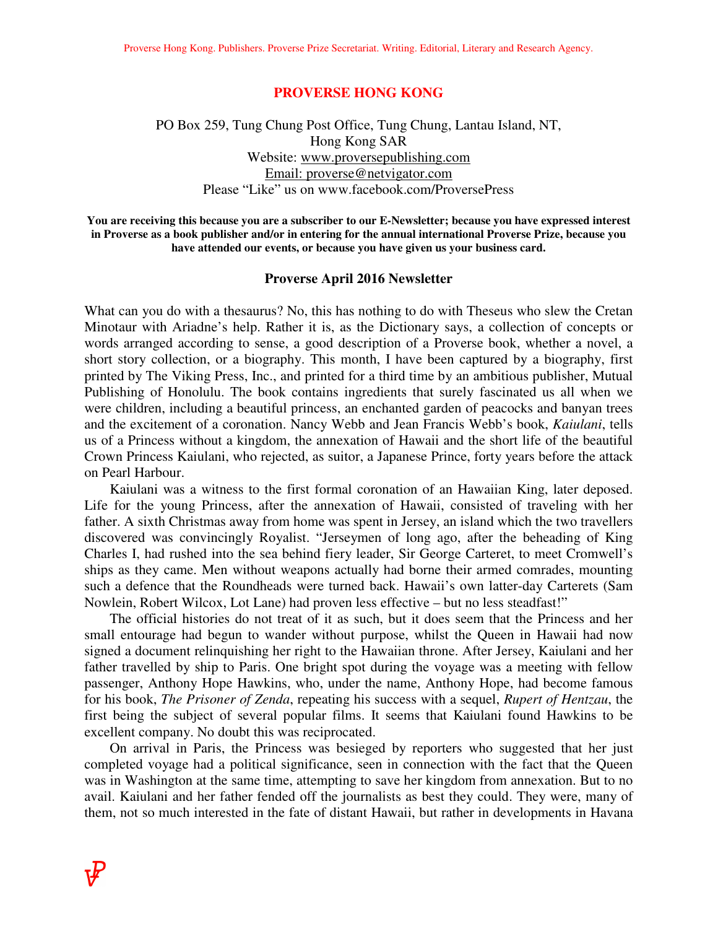#### **PROVERSE HONG KONG**

## PO Box 259, Tung Chung Post Office, Tung Chung, Lantau Island, NT, Hong Kong SAR Website: www.proversepublishing.com Email: proverse@netvigator.com Please "Like" us on www.facebook.com/ProversePress

**You are receiving this because you are a subscriber to our E-Newsletter; because you have expressed interest in Proverse as a book publisher and/or in entering for the annual international Proverse Prize, because you have attended our events, or because you have given us your business card.** 

#### **Proverse April 2016 Newsletter**

What can you do with a thesaurus? No, this has nothing to do with Theseus who slew the Cretan Minotaur with Ariadne's help. Rather it is, as the Dictionary says, a collection of concepts or words arranged according to sense, a good description of a Proverse book, whether a novel, a short story collection, or a biography. This month, I have been captured by a biography, first printed by The Viking Press, Inc., and printed for a third time by an ambitious publisher, Mutual Publishing of Honolulu. The book contains ingredients that surely fascinated us all when we were children, including a beautiful princess, an enchanted garden of peacocks and banyan trees and the excitement of a coronation. Nancy Webb and Jean Francis Webb's book, *Kaiulani*, tells us of a Princess without a kingdom, the annexation of Hawaii and the short life of the beautiful Crown Princess Kaiulani, who rejected, as suitor, a Japanese Prince, forty years before the attack on Pearl Harbour.

 Kaiulani was a witness to the first formal coronation of an Hawaiian King, later deposed. Life for the young Princess, after the annexation of Hawaii, consisted of traveling with her father. A sixth Christmas away from home was spent in Jersey, an island which the two travellers discovered was convincingly Royalist. "Jerseymen of long ago, after the beheading of King Charles I, had rushed into the sea behind fiery leader, Sir George Carteret, to meet Cromwell's ships as they came. Men without weapons actually had borne their armed comrades, mounting such a defence that the Roundheads were turned back. Hawaii's own latter-day Carterets (Sam Nowlein, Robert Wilcox, Lot Lane) had proven less effective – but no less steadfast!"

 The official histories do not treat of it as such, but it does seem that the Princess and her small entourage had begun to wander without purpose, whilst the Queen in Hawaii had now signed a document relinquishing her right to the Hawaiian throne. After Jersey, Kaiulani and her father travelled by ship to Paris. One bright spot during the voyage was a meeting with fellow passenger, Anthony Hope Hawkins, who, under the name, Anthony Hope, had become famous for his book, *The Prisoner of Zenda*, repeating his success with a sequel, *Rupert of Hentzau*, the first being the subject of several popular films. It seems that Kaiulani found Hawkins to be excellent company. No doubt this was reciprocated.

 On arrival in Paris, the Princess was besieged by reporters who suggested that her just completed voyage had a political significance, seen in connection with the fact that the Queen was in Washington at the same time, attempting to save her kingdom from annexation. But to no avail. Kaiulani and her father fended off the journalists as best they could. They were, many of them, not so much interested in the fate of distant Hawaii, but rather in developments in Havana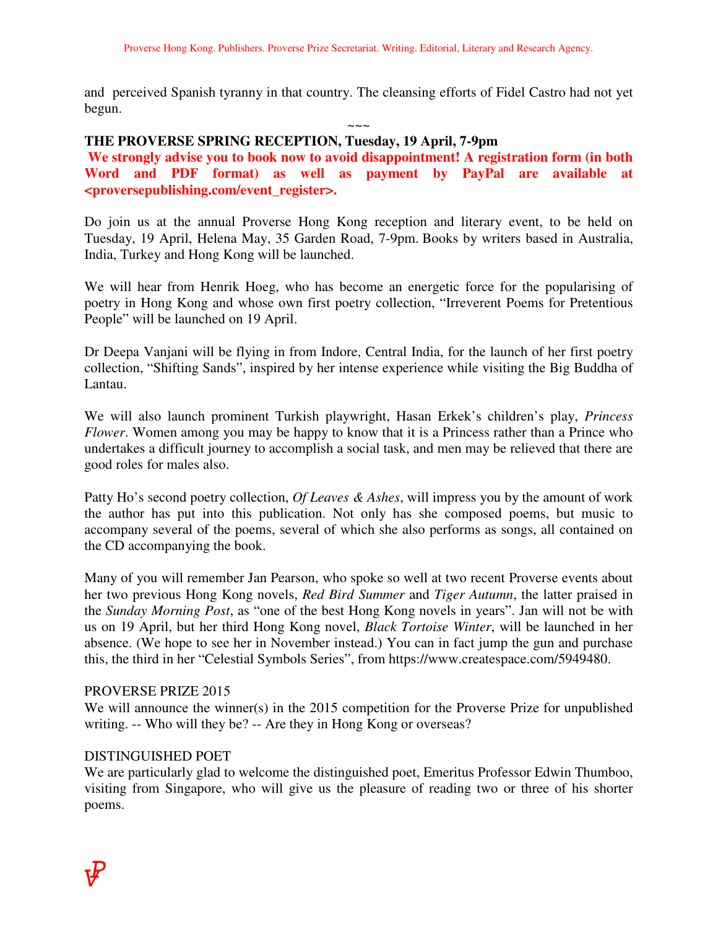and perceived Spanish tyranny in that country. The cleansing efforts of Fidel Castro had not yet begun.

 $\sim\sim\sim$ 

## **THE PROVERSE SPRING RECEPTION, Tuesday, 19 April, 7-9pm**

**We strongly advise you to book now to avoid disappointment! A registration form (in both Word and PDF format) as well as payment by PayPal are available at <proversepublishing.com/event\_register>.** 

Do join us at the annual Proverse Hong Kong reception and literary event, to be held on Tuesday, 19 April, Helena May, 35 Garden Road, 7-9pm. Books by writers based in Australia, India, Turkey and Hong Kong will be launched.

We will hear from Henrik Hoeg, who has become an energetic force for the popularising of poetry in Hong Kong and whose own first poetry collection, "Irreverent Poems for Pretentious People" will be launched on 19 April.

Dr Deepa Vanjani will be flying in from Indore, Central India, for the launch of her first poetry collection, "Shifting Sands", inspired by her intense experience while visiting the Big Buddha of Lantau.

We will also launch prominent Turkish playwright, Hasan Erkek's children's play, *Princess Flower*. Women among you may be happy to know that it is a Princess rather than a Prince who undertakes a difficult journey to accomplish a social task, and men may be relieved that there are good roles for males also.

Patty Ho's second poetry collection, *Of Leaves & Ashes*, will impress you by the amount of work the author has put into this publication. Not only has she composed poems, but music to accompany several of the poems, several of which she also performs as songs, all contained on the CD accompanying the book.

Many of you will remember Jan Pearson, who spoke so well at two recent Proverse events about her two previous Hong Kong novels, *Red Bird Summer* and *Tiger Autumn*, the latter praised in the *Sunday Morning Post*, as "one of the best Hong Kong novels in years". Jan will not be with us on 19 April, but her third Hong Kong novel, *Black Tortoise Winter*, will be launched in her absence. (We hope to see her in November instead.) You can in fact jump the gun and purchase this, the third in her "Celestial Symbols Series", from https://www.createspace.com/5949480.

## PROVERSE PRIZE 2015

We will announce the winner(s) in the 2015 competition for the Proverse Prize for unpublished writing. -- Who will they be? -- Are they in Hong Kong or overseas?

# DISTINGUISHED POET

We are particularly glad to welcome the distinguished poet, Emeritus Professor Edwin Thumboo, visiting from Singapore, who will give us the pleasure of reading two or three of his shorter poems.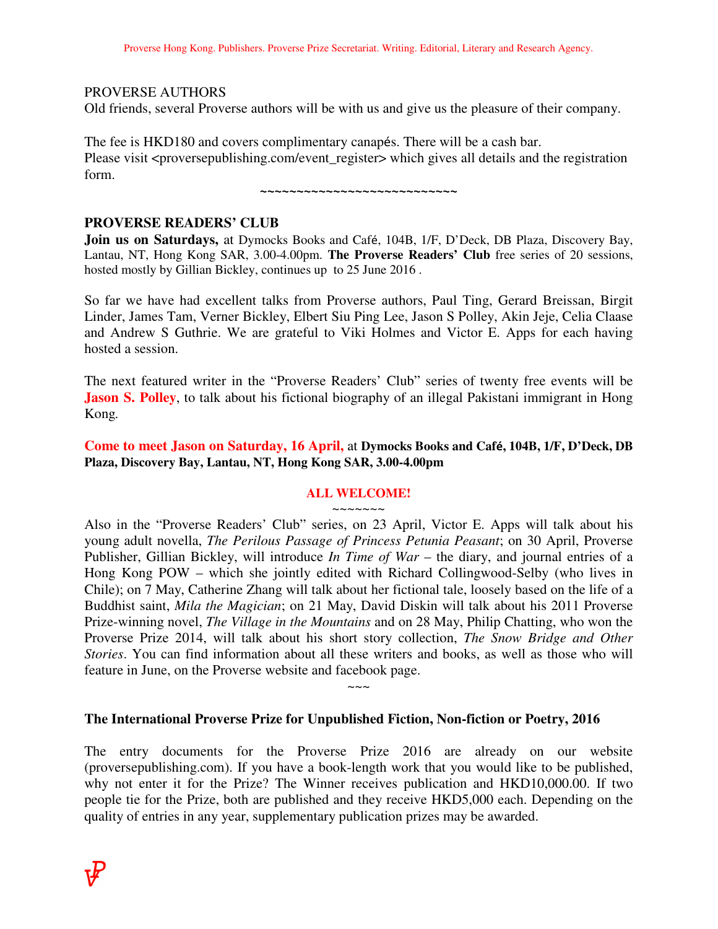## PROVERSE AUTHORS

Old friends, several Proverse authors will be with us and give us the pleasure of their company.

The fee is HKD180 and covers complimentary canapés. There will be a cash bar. Please visit <proversepublishing.com/event register> which gives all details and the registration form.

**~~~~~~~~~~~~~~~~~~~~~~~~~~~** 

# **PROVERSE READERS' CLUB**

**Join us on Saturdays,** at Dymocks Books and Café, 104B, 1/F, D'Deck, DB Plaza, Discovery Bay, Lantau, NT, Hong Kong SAR, 3.00-4.00pm. **The Proverse Readers' Club** free series of 20 sessions, hosted mostly by Gillian Bickley, continues up to 25 June 2016 .

So far we have had excellent talks from Proverse authors, Paul Ting, Gerard Breissan, Birgit Linder, James Tam, Verner Bickley, Elbert Siu Ping Lee, Jason S Polley, Akin Jeje, Celia Claase and Andrew S Guthrie. We are grateful to Viki Holmes and Victor E. Apps for each having hosted a session.

The next featured writer in the "Proverse Readers' Club" series of twenty free events will be **Jason S. Polley**, to talk about his fictional biography of an illegal Pakistani immigrant in Hong Kong*.* 

## **Come to meet Jason on Saturday, 16 April,** at **Dymocks Books and Café, 104B, 1/F, D'Deck, DB Plaza, Discovery Bay, Lantau, NT, Hong Kong SAR, 3.00-4.00pm**

#### **ALL WELCOME!**  ~~~~~~~

Also in the "Proverse Readers' Club" series, on 23 April, Victor E. Apps will talk about his young adult novella, *The Perilous Passage of Princess Petunia Peasant*; on 30 April, Proverse Publisher, Gillian Bickley, will introduce *In Time of War* – the diary, and journal entries of a Hong Kong POW – which she jointly edited with Richard Collingwood-Selby (who lives in Chile); on 7 May, Catherine Zhang will talk about her fictional tale, loosely based on the life of a Buddhist saint, *Mila the Magician*; on 21 May, David Diskin will talk about his 2011 Proverse Prize-winning novel, *The Village in the Mountains* and on 28 May, Philip Chatting, who won the Proverse Prize 2014, will talk about his short story collection, *The Snow Bridge and Other Stories*. You can find information about all these writers and books, as well as those who will feature in June, on the Proverse website and facebook page.

# **The International Proverse Prize for Unpublished Fiction, Non-fiction or Poetry, 2016**

 $\sim\sim\sim$ 

The entry documents for the Proverse Prize 2016 are already on our website (proversepublishing.com). If you have a book-length work that you would like to be published, why not enter it for the Prize? The Winner receives publication and HKD10,000.00. If two people tie for the Prize, both are published and they receive HKD5,000 each. Depending on the quality of entries in any year, supplementary publication prizes may be awarded.